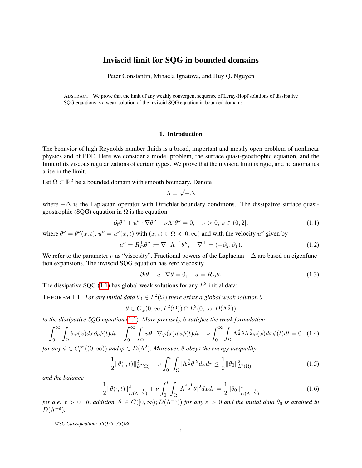# Inviscid limit for SQG in bounded domains

Peter Constantin, Mihaela Ignatova, and Huy Q. Nguyen

ABSTRACT. We prove that the limit of any weakly convergent sequence of Leray-Hopf solutions of dissipative SQG equations is a weak solution of the inviscid SQG equation in bounded domains.

#### 1. Introduction

The behavior of high Reynolds number fluids is a broad, important and mostly open problem of nonlinear physics and of PDE. Here we consider a model problem, the surface quasi-geostrophic equation, and the limit of its viscous regularizations of certain types. We prove that the inviscid limit is rigid, and no anomalies arise in the limit.

Let  $\Omega \subset \mathbb{R}^2$  be a bounded domain with smooth boundary. Denote

$$
\Lambda = \sqrt{-\Delta}
$$

where  $-\Delta$  is the Laplacian operator with Dirichlet boundary conditions. The dissipative surface quasigeostrophic (SQG) equation in  $\Omega$  is the equation

<span id="page-0-0"></span>
$$
\partial_t \theta^\nu + u^\nu \cdot \nabla \theta^\nu + \nu \Lambda^s \theta^\nu = 0, \quad \nu > 0, \ s \in (0, 2], \tag{1.1}
$$

where  $\theta^{\nu} = \theta^{\nu}(x, t)$ ,  $u^{\nu} = u^{\nu}(x, t)$  with  $(x, t) \in \Omega \times [0, \infty)$  and with the velocity  $u^{\nu}$  given by

$$
u^{\nu} = R_D^{\perp} \theta^{\nu} := \nabla^{\perp} \Lambda^{-1} \theta^{\nu}, \quad \nabla^{\perp} = (-\partial_2, \partial_1). \tag{1.2}
$$

We refer to the parameter  $\nu$  as "viscosity". Fractional powers of the Laplacian  $-\Delta$  are based on eigenfunction expansions. The inviscid SQG equation has zero viscosity

<span id="page-0-5"></span>
$$
\partial_t \theta + u \cdot \nabla \theta = 0, \quad u = R_D^{\perp} \theta. \tag{1.3}
$$

The dissipative SQG [\(1.1\)](#page-0-0) has global weak solutions for any  $L^2$  initial data:

<span id="page-0-4"></span>THEOREM 1.1. *For any initial data*  $\theta_0 \in L^2(\Omega)$  *there exists a global weak solution*  $\theta$ 

$$
\theta \in C_w(0,\infty; L^2(\Omega)) \cap L^2(0,\infty;D(\Lambda^{\frac{s}{2}}))
$$

*to the dissipative SQG equation* [\(1.1\)](#page-0-0)*. More precisely,* θ *satisfies the weak formulation*

<span id="page-0-1"></span>
$$
\int_0^\infty \int_\Omega \theta \varphi(x) dx \partial_t \phi(t) dt + \int_0^\infty \int_\Omega u \theta \cdot \nabla \varphi(x) dx \phi(t) dt - \nu \int_0^\infty \int_\Omega \Lambda^{\frac{s}{2}} \theta \Lambda^{\frac{s}{2}} \varphi(x) dx \phi(t) dt = 0 \quad (1.4)
$$

*for any*  $\phi \in C_c^{\infty}((0,\infty))$  *and*  $\varphi \in D(\Lambda^2)$ *. Moreover,*  $\theta$  *obeys the energy inequality* 

<span id="page-0-2"></span>
$$
\frac{1}{2} \|\theta(\cdot,t)\|_{L^2(\Omega)}^2 + \nu \int_0^t \int_{\Omega} |\Lambda^{\frac{s}{2}} \theta|^2 dx dr \le \frac{1}{2} \|\theta_0\|_{L^2(\Omega)}^2 \tag{1.5}
$$

*and the balance*

<span id="page-0-3"></span>
$$
\frac{1}{2} \|\theta(\cdot, t)\|_{D(\Lambda^{-\frac{1}{2}})}^2 + \nu \int_0^t \int_{\Omega} |\Lambda^{\frac{s-1}{2}} \theta|^2 dx dr = \frac{1}{2} \|\theta_0\|_{D(\Lambda^{-\frac{1}{2}})}^2 \tag{1.6}
$$

*for a.e.*  $t > 0$ . In addition,  $\theta \in C([0,\infty); D(\Lambda^{-\varepsilon}))$  *for any*  $\varepsilon > 0$  *and the initial data*  $\theta_0$  *is attained in*  $D(\Lambda^{-\varepsilon}).$ 

*MSC Classification: 35Q35, 35Q86.*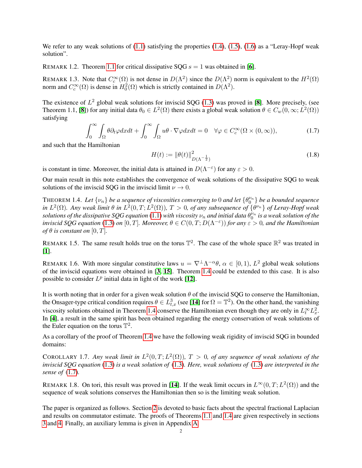We refer to any weak solutions of  $(1.1)$  satisfying the properties  $(1.4)$ ,  $(1.5)$ ,  $(1.6)$  as a "Leray-Hopf weak solution".

REMARK 1.2. Theorem [1.1](#page-0-4) for critical dissipative SQG  $s = 1$  was obtained in [[6](#page-9-0)].

REMARK 1.3. Note that  $C_c^{\infty}(\Omega)$  is not dense in  $D(\Lambda^2)$  since the  $D(\Lambda^2)$  norm is equivalent to the  $H^2(\Omega)$ norm and  $C_c^{\infty}(\Omega)$  is dense in  $H_0^2(\Omega)$  which is strictly contained in  $D(\Lambda^2)$ .

The existence of  $L^2$  global weak solutions for inviscid SQG [\(1.3\)](#page-0-5) was proved in [[8](#page-9-1)]. More precisely, (see Theorem 1.1, [[8](#page-9-1)]) for any initial data  $\theta_0 \in L^2(\Omega)$  there exists a global weak solution  $\theta \in C_w(0,\infty; L^2(\Omega))$ satisfying

<span id="page-1-1"></span>
$$
\int_0^\infty \int_\Omega \theta \partial_t \varphi dx dt + \int_0^\infty \int_\Omega u\theta \cdot \nabla \varphi dx dt = 0 \quad \forall \varphi \in C_c^\infty(\Omega \times (0, \infty)),\tag{1.7}
$$

and such that the Hamiltonian

$$
H(t) := \|\theta(t)\|_{D(\Lambda^{-\frac{1}{2}})}^2
$$
\n(1.8)

is constant in time. Moreover, the initial data is attained in  $D(\Lambda^{-\varepsilon})$  for any  $\varepsilon > 0$ .

Our main result in this note establishes the convergence of weak solutions of the dissipative SQG to weak solutions of the inviscid SQG in the inviscid limit  $\nu \to 0$ .

<span id="page-1-0"></span>THEOREM 1.4. Let  $\{\nu_n\}$  be a sequence of viscosities converging to 0 and let  $\{\theta_0^{\nu_n}\}$  be a bounded sequence *in*  $L^2(\Omega)$ . Any weak limit  $\theta$  in  $L^2(0,T;L^2(\Omega))$ ,  $T>0$ , of any subsequence of  $\{\theta^{\nu_n}\}$  of Leray-Hopf weak  $s$ olutions of the dissipative SQG equation  $(1.1)$  with viscosity  $\nu_n$  and initial data  $\theta_0^{\nu_n}$  is a weak solution of the *inviscid SQG equation* [\(1.3\)](#page-0-5) *on* [0, T]. Moreover,  $\theta \in C(0,T;D(\Lambda^{-\varepsilon}))$  for any  $\varepsilon > 0$ , and the Hamiltonian *of*  $\theta$  *is constant on* [0, T].

REMARK 1.5. The same result holds true on the torus  $\mathbb{T}^2$ . The case of the whole space  $\mathbb{R}^2$  was treated in [[1](#page-9-2)].

REMARK 1.6. With more singular constitutive laws  $u = \nabla^{\perp} \Lambda^{-\alpha} \theta$ ,  $\alpha \in [0,1)$ ,  $L^2$  global weak solutions of the inviscid equations were obtained in [[3,](#page-9-3) [15](#page-9-4)]. Theorem [1.4](#page-1-0) could be extended to this case. It is also possible to consider  $L^p$  initial data in light of the work [[12](#page-9-5)].

It is worth noting that in order for a given weak solution  $\theta$  of the inviscid SQG to conserve the Hamiltonian, the Onsager-type critical condition requires  $\theta \in L^3_{t,x}$  (see [[14](#page-9-6)] for  $\Omega = \mathbb{T}^2$ ). On the other hand, the vanishing viscosity solutions obtained in Theorem [1.4](#page-1-0) conserve the Hamiltonian even though they are only in  $L_t^{\infty} L_x^2$ . In [[4](#page-9-7)], a result in the same spirit has been obtained regarding the energy conservation of weak solutions of the Euler equation on the torus  $\mathbb{T}^2$ .

As a corollary of the proof of Theorem [1.4](#page-1-0) we have the following weak rigidity of inviscid SQG in bounded domains:

COROLLARY 1.7. Any weak limit in  $L^2(0,T;L^2(\Omega))$ ,  $T > 0$ , of any sequence of weak solutions of the *inviscid SQG equation* [\(1.3\)](#page-0-5) *is a weak solution of* [\(1.3\)](#page-0-5)*. Here, weak solutions of* [\(1.3\)](#page-0-5) *are interpreted in the sense of* [\(1.7\)](#page-1-1)*.*

REMARK 1.8. On tori, this result was proved in [[14](#page-9-6)]. If the weak limit occurs in  $L^{\infty}(0,T; L^{2}(\Omega))$  and the sequence of weak solutions conserves the Hamiltonian then so is the limiting weak solution.

The paper is organized as follows. Section [2](#page-2-0) is devoted to basic facts about the spectral fractional Laplacian and results on commutator estimate. The proofs of Theorems [1.1](#page-0-4) and [1.4](#page-1-0) are given respectively in sections [3](#page-3-0) and [4.](#page-6-0) Finally, an auxiliary lemma is given in Appendix [A.](#page-8-0)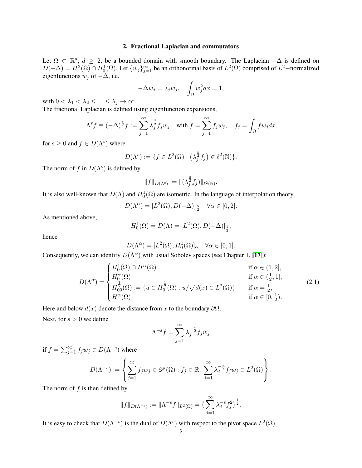### 2. Fractional Laplacian and commutators

<span id="page-2-0"></span>Let  $\Omega \subset \mathbb{R}^d$ ,  $d \geq 2$ , be a bounded domain with smooth boundary. The Laplacian  $-\Delta$  is defined on  $D(-\Delta) = H^2(\Omega) \cap H_0^1(\Omega)$ . Let  $\{w_j\}_{j=1}^{\infty}$  be an orthonormal basis of  $L^2(\Omega)$  comprised of  $L^2$ –normalized eigenfunctions  $w_j$  of  $-\Delta$ , i.e.

$$
-\Delta w_j = \lambda_j w_j, \quad \int_{\Omega} w_j^2 dx = 1,
$$

with  $0 < \lambda_1 < \lambda_2 \leq ... \leq \lambda_j \to \infty$ .

The fractional Laplacian is defined using eigenfunction expansions,

$$
\Lambda^s f \equiv (-\Delta)^{\frac{s}{2}} f := \sum_{j=1}^{\infty} \lambda_j^{\frac{s}{2}} f_j w_j \quad \text{with } f = \sum_{j=1}^{\infty} f_j w_j, \quad f_j = \int_{\Omega} f w_j dx
$$

for  $s \geq 0$  and  $f \in D(\Lambda^s)$  where

$$
D(\Lambda^s) := \{ f \in L^2(\Omega) : \left( \lambda_j^{\frac{s}{2}} f_j \right) \in \ell^2(\mathbb{N}) \}.
$$

The norm of f in  $D(\Lambda^s)$  is defined by

$$
||f||_{D(\Lambda^s)} := ||(\lambda_j^{\frac{s}{2}} f_j)||_{\ell^2(\mathbb{N})}.
$$

It is also well-known that  $D(\Lambda)$  and  $H_0^1(\Omega)$  are isometric. In the language of interpolation theory,

$$
D(\Lambda^{\alpha}) = [L^{2}(\Omega), D(-\Delta)]_{\frac{\alpha}{2}} \quad \forall \alpha \in [0, 2].
$$

As mentioned above,

$$
H_0^1(\Omega) = D(\Lambda) = [L^2(\Omega), D(-\Delta)]_{\frac{1}{2}},
$$

hence

$$
D(\Lambda^{\alpha}) = [L^{2}(\Omega), H_{0}^{1}(\Omega)]_{\alpha} \quad \forall \alpha \in [0, 1].
$$

Consequently, we can identify  $D(\Lambda^\alpha)$  with usual Sobolev spaces (see Chapter 1, [[17](#page-9-8)]):

$$
D(\Lambda^{\alpha}) = \begin{cases} H_0^1(\Omega) \cap H^{\alpha}(\Omega) & \text{if } \alpha \in (1,2], \\ H_0^{\alpha}(\Omega) & \text{if } \alpha \in (\frac{1}{2},1], \\ H_{00}^{\frac{1}{2}}(\Omega) := \{ u \in H_0^{\frac{1}{2}}(\Omega) : u/\sqrt{d(x)} \in L^2(\Omega) \} & \text{if } \alpha = \frac{1}{2}, \\ H^{\alpha}(\Omega) & \text{if } \alpha \in [0,\frac{1}{2}). \end{cases}
$$
(2.1)

.

Here and below  $d(x)$  denote the distance from x to the boundary  $\partial\Omega$ .

Next, for  $s > 0$  we define

$$
\Lambda^{-s}f = \sum_{j=1}^{\infty} \lambda_j^{-\frac{s}{2}} f_j w_j
$$

if  $f = \sum_{j=1}^{\infty} f_j w_j \in D(\Lambda^{-s})$  where

$$
D(\Lambda^{-s}) := \left\{ \sum_{j=1}^{\infty} f_j w_j \in \mathscr{D}'(\Omega) : f_j \in \mathbb{R}, \ \sum_{j=1}^{\infty} \lambda_j^{-\frac{s}{2}} f_j w_j \in L^2(\Omega) \right\}
$$

The norm of  $f$  is then defined by

$$
||f||_{D(\Lambda^{-s})} := ||\Lambda^{-s}f||_{L^2(\Omega)} = \left(\sum_{j=1}^{\infty} \lambda_j^{-s} f_j^2\right)^{\frac{1}{2}}.
$$

It is easy to check that  $D(\Lambda^{-s})$  is the dual of  $D(\Lambda^{s})$  with respect to the pivot space  $L^{2}(\Omega)$ .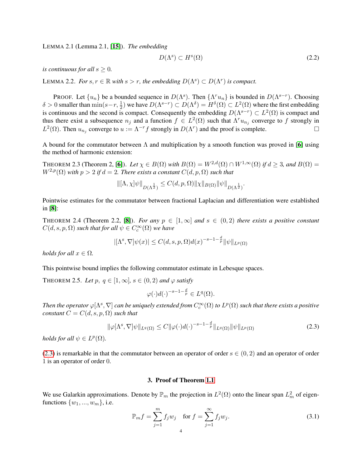LEMMA 2.1 (Lemma 2.1, [[15](#page-9-4)]). *The embedding*

$$
D(\Lambda^s) \subset H^s(\Omega) \tag{2.2}
$$

*is continuous for all*  $s > 0$ *.* 

<span id="page-3-2"></span>LEMMA 2.2. *For*  $s, r \in \mathbb{R}$  *with*  $s > r$ *, the embedding*  $D(\Lambda^s) \subset D(\Lambda^r)$  *is compact.* 

PROOF. Let  $\{u_n\}$  be a bounded sequence in  $D(\Lambda^s)$ . Then  $\{\Lambda^r u_n\}$  is bounded in  $D(\Lambda^{s-r})$ . Choosing  $\delta > 0$  smaller than  $\min(s-r, \frac{1}{2})$  we have  $D(\Lambda^{s-r}) \subset D(\Lambda^{\delta}) = H^{\delta}(\Omega) \subset L^2(\Omega)$  where the first embedding is continuous and the second is compact. Consequently the embedding  $D(\Lambda^{s-r}) \subset L^2(\Omega)$  is compact and thus there exist a subsequence  $n_j$  and a function  $f \in L^2(\Omega)$  such that  $\Lambda^r u_{n_j}$  converge to f strongly in  $L^2(\Omega)$ . Then  $u_{n_j}$  converge to  $u := \Lambda^{-r} f$  strongly in  $D(\Lambda^r)$  and the proof is complete.

A bound for the commutator between  $\Lambda$  and multiplication by a smooth function was proved in [[6](#page-9-0)] using the method of harmonic extension:

<span id="page-3-4"></span>THEOREM 2.3 (Theorem 2, [[6](#page-9-0)]). Let  $\chi \in B(\Omega)$  with  $B(\Omega) = W^{2,d}(\Omega) \cap W^{1,\infty}(\Omega)$  if  $d \geq 3$ , and  $B(\Omega) =$  $W^{2,p}(\Omega)$  *with*  $p > 2$  *if*  $d = 2$ *. There exists a constant*  $C(d, p, \Omega)$  *such that* 

$$
\|[\Lambda,\chi]\psi\|_{D(\Lambda^{\frac{1}{2}})} \leq C(d,p,\Omega) \|\chi\|_{B(\Omega)} \|\psi\|_{D(\Lambda^{\frac{1}{2}})}.
$$

Pointwise estimates for the commutator between fractional Laplacian and differentiation were established in [[8](#page-9-1)]:

THEOREM 2.4 (Theorem 2.2, [[8](#page-9-1)]). *For any*  $p \in [1,\infty]$  *and*  $s \in (0,2)$  *there exists a positive constant*  $C(d, s, p, \Omega)$  such that for all  $\psi \in C_c^{\infty}(\Omega)$  we have

$$
|[\Lambda^s, \nabla] \psi(x)| \le C(d, s, p, \Omega) d(x)^{-s-1-\frac{d}{p}} ||\psi||_{L^p(\Omega)}
$$

*holds for all*  $x \in \Omega$ *.* 

This pointwise bound implies the following commutator estimate in Lebesque spaces.

<span id="page-3-3"></span>THEOREM 2.5. Let p,  $q \in [1,\infty]$ ,  $s \in (0,2)$  and  $\varphi$  satisfy

$$
\varphi(\cdot)d(\cdot)^{-s-1-\frac{d}{p}} \in L^q(\Omega).
$$

Then the operator  $\varphi[\Lambda^s,\nabla]$  can be uniquely extended from  $C_c^\infty(\Omega)$  to  $L^p(\Omega)$  such that there exists a positive *constant*  $C = C(d, s, p, \Omega)$  *such that* 

<span id="page-3-1"></span>
$$
\|\varphi[\Lambda^s, \nabla]\psi\|_{L^q(\Omega)} \le C \|\varphi(\cdot)d(\cdot)^{-s-1-\frac{d}{p}}\|_{L^q(\Omega)} \|\psi\|_{L^p(\Omega)}
$$
\n(2.3)

*holds for all*  $\psi \in L^p(\Omega)$ *.* 

[\(2.3\)](#page-3-1) is remarkable in that the commutator between an operator of order  $s \in (0, 2)$  and an operator of order 1 is an operator of order 0.

#### 3. Proof of Theorem [1.1](#page-0-4)

<span id="page-3-0"></span>We use Galarkin approximations. Denote by  $\mathbb{P}_m$  the projection in  $L^2(\Omega)$  onto the linear span  $L^2_m$  of eigenfunctions  $\{w_1, ..., w_m\}$ , i.e.

<span id="page-3-5"></span>
$$
\mathbb{P}_m f = \sum_{j=1}^m f_j w_j \quad \text{for } f = \sum_{j=1}^\infty f_j w_j.
$$
 (3.1)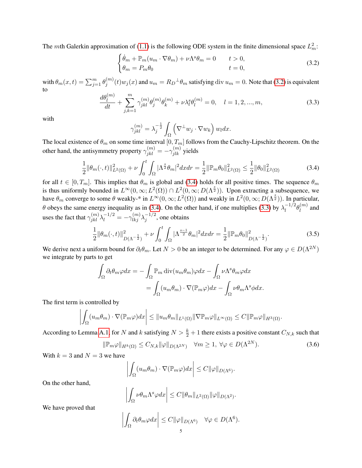The mth Galerkin approximation of [\(1.1\)](#page-0-0) is the following ODE system in the finite dimensional space  $L_m^2$ .

<span id="page-4-0"></span>
$$
\begin{cases}\n\dot{\theta}_m + \mathbb{P}_m(u_m \cdot \nabla \theta_m) + \nu \Lambda^s \theta_m = 0 & t > 0, \\
\theta_m = P_m \theta_0 & t = 0,\n\end{cases}
$$
\n(3.2)

with  $\theta_m(x,t)=\sum_{j=1}^m\theta_j^{(m)}$  $j^{(m)}(t)w_j(x)$  and  $u_m = R_D^{\perp}\theta_m$  satisfying  $\mathrm{div}\, u_m = 0$ . Note that [\(3.2\)](#page-4-0) is equivalent to

<span id="page-4-2"></span>
$$
\frac{d\theta_l^{(m)}}{dt} + \sum_{j,k=1}^m \gamma_{jkl}^{(m)} \theta_j^{(m)} \theta_k^{(m)} + \nu \lambda_l^s \theta_l^{(m)} = 0, \quad l = 1, 2, ..., m,
$$
\n(3.3)

with

$$
\gamma_{jkl}^{(m)} = \lambda_j^{-\frac{1}{2}} \int_{\Omega} \left( \nabla^{\perp} w_j \cdot \nabla w_k \right) w_l dx.
$$

The local existence of  $\theta_m$  on some time interval  $[0, T_m]$  follows from the Cauchy-Lipschitz theorem. On the other hand, the antisymmetry property  $\gamma_{jkl}^{(m)} = -\gamma_{jlk}^{(m)}$  yields

<span id="page-4-1"></span>
$$
\frac{1}{2} \|\theta_m(\cdot, t)\|_{L^2(\Omega)}^2 + \nu \int_0^t \int_{\Omega} |\Lambda^{\frac{s}{2}} \theta_m|^2 dx dr = \frac{1}{2} \|\mathbb{P}_m \theta_0\|_{L^2(\Omega)}^2 \le \frac{1}{2} \|\theta_0\|_{L^2(\Omega)}^2 \tag{3.4}
$$

for all  $t \in [0, T_m]$ . This implies that  $\theta_m$  is global and [\(3.4\)](#page-4-1) holds for all positive times. The sequence  $\theta_m$ is thus uniformly bounded in  $L^{\infty}(0,\infty; L^2(\Omega)) \cap L^2(0,\infty; D(\Lambda^{\frac{s}{2}}))$ . Upon extracting a subsequence, we have  $\theta_m$  converge to some  $\theta$  weakly-\* in  $L^{\infty}(0,\infty; L^2(\Omega))$  and weakly in  $L^2(0,\infty; D(\Lambda^{\frac{3}{2}}))$ . In particular,  $\theta$  obeys the same energy inequality as in [\(3.4\)](#page-4-1). On the other hand, if one multiplies [\(3.3\)](#page-4-2) by  $\lambda_1^{-1/2}$  $l_0^{-1/2}\theta_l^{(m)}$  $\binom{m}{l}$  and uses the fact that  $\gamma_{jkl}^{(m)} \lambda_l^{-1/2} = -\gamma_{lkj}^{(m)} \lambda_j^{-1/2}$  $j^{-1/2}$ , one obtains

<span id="page-4-3"></span>
$$
\frac{1}{2} \|\theta_m(\cdot, t)\|_{D(\Lambda^{-\frac{1}{2}})}^2 + \nu \int_0^t \int_{\Omega} |\Lambda^{\frac{s-1}{2}} \theta_m|^2 dx dr = \frac{1}{2} \|\mathbb{P}_m \theta_0\|_{D(\Lambda^{-\frac{1}{2}})}^2. \tag{3.5}
$$

We derive next a uniform bound for  $\partial_t \theta_m$ . Let  $N > 0$  be an integer to be determined. For any  $\varphi \in D(\Lambda^{2N})$ we integrate by parts to get

$$
\int_{\Omega} \partial_t \theta_m \varphi dx = -\int_{\Omega} \mathbb{P}_m \operatorname{div}(u_m \theta_m) \varphi dx - \int_{\Omega} \nu \Lambda^s \theta_m \varphi dx \n= \int_{\Omega} (u_m \theta_m) \cdot \nabla(\mathbb{P}_m \varphi) dx - \int_{\Omega} \nu \theta_m \Lambda^s \varphi dx.
$$

The first term is controlled by

$$
\left| \int_{\Omega} (u_m \theta_m) \cdot \nabla(\mathbb{P}_m \varphi) dx \right| \leq \|u_m \theta_m\|_{L^1(\Omega)} \|\nabla \mathbb{P}_m \varphi\|_{L^\infty(\Omega)} \leq C \|\mathbb{P}_m \varphi\|_{H^3(\Omega)}.
$$

According to Lemma [A.1,](#page-8-1) for N and k satisfying  $N > \frac{k}{2} + 1$  there exists a positive constant  $C_{N,k}$  such that

$$
\|\mathbb{P}_m\varphi\|_{H^k(\Omega)} \le C_{N,k} \|\varphi\|_{D(\Lambda^{2N})} \quad \forall m \ge 1, \ \forall \varphi \in D(\Lambda^{2N}).
$$
\n(3.6)

With  $k = 3$  and  $N = 3$  we have

$$
\left| \int_{\Omega} (u_m \theta_m) \cdot \nabla(\mathbb{P}_m \varphi) dx \right| \leq C ||\varphi||_{D(\Lambda^6)}.
$$

On the other hand,

$$
\left| \int_{\Omega} \nu \theta_m \Lambda^s \varphi dx \right| \leq C ||\theta_m||_{L^2(\Omega)} ||\varphi||_{D(\Lambda^2)}.
$$

We have proved that

$$
\left| \int_{\Omega} \partial_t \theta_m \varphi dx \right| \leq C ||\varphi||_{D(\Lambda^6)} \quad \forall \varphi \in D(\Lambda^6).
$$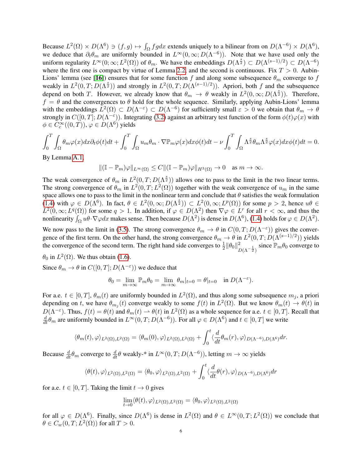Because  $L^2(\Omega) \times D(\Lambda^6) \ni (f, g) \mapsto \int_{\Omega} fg dx$  extends uniquely to a bilinear from on  $D(\Lambda^{-6}) \times D(\Lambda^6)$ , we deduce that  $\partial_t \theta_m$  are uniformly bounded in  $L^{\infty}(0, \infty; D(\Lambda^{-6}))$ . Note that we have used only the uniform regularity  $L^{\infty}(0; \infty; L^2(\Omega))$  of  $\theta_m$ . We have the embeddings  $D(\Lambda^{\frac{s}{2}}) \subset D(\Lambda^{(s-1)/2}) \subset D(\Lambda^{-6})$ where the first one is compact by virtue of Lemma [2.2,](#page-3-2) and the second is continuous. Fix  $T > 0$ . Aubin-Lions' lemma (see [[16](#page-9-9)]) ensures that for some function f and along some subsequence  $\theta_m$  converge to f weakly in  $L^2(0,T;D(\Lambda^{\frac{s}{2}}))$  and strongly in  $L^2(0,T;D(\Lambda^{(s-1)/2}))$ . Apriori, both f and the subsequence depend on both T. However, we already know that  $\theta_m \to \theta$  weakly in  $L^2(0,\infty;D(\Lambda^{\frac{3}{2}}))$ . Therefore,  $f = \theta$  and the convergences to  $\theta$  hold for the whole sequence. Similarly, applying Aubin-Lions' lemma with the embeddings  $L^2(\Omega) \subset D(\Lambda^{-\epsilon}) \subset D(\Lambda^{-6})$  for sufficiently small  $\varepsilon > 0$  we obtain that  $\theta_m \to \theta$ strongly in  $C([0,T]; D(\Lambda^{-\varepsilon}))$ . Integrating [\(3.2\)](#page-4-0) against an arbitrary test function of the form  $\phi(t)\varphi(x)$  with  $\phi \in C_c^{\infty}((0,T)),$   $\varphi \in D(\Lambda^6)$  yields

$$
\int_0^T \int_{\Omega} \theta_m \varphi(x) dx \partial_t \phi(t) dt + \int_0^T \int_{\Omega} u_m \theta_m \cdot \nabla \mathbb{P}_m \varphi(x) dx \phi(t) dt - \nu \int_0^T \int_{\Omega} \Lambda^{\frac{s}{2}} \theta_m \Lambda^{\frac{s}{2}} \varphi(x) dx \phi(t) dt = 0.
$$
  
By Lemma A 1

By Lemma [A.1,](#page-8-1)

$$
\|(\mathbb{I}-\mathbb{P}_m)\varphi\|_{L^\infty(\Omega)}\leq C\|(\mathbb{I}-\mathbb{P}_m)\varphi\|_{H^3(\Omega)}\to 0\quad \text{as }m\to\infty.
$$

The weak convergence of  $\theta_m$  in  $L^2(0,T;D(\Lambda^{\frac{s}{2}}))$  allows one to pass to the limit in the two linear terms. The strong convergence of  $\theta_m$  in  $L^2(0,T;L^2(\Omega))$  together with the weak convergence of  $u_m$  in the same space allows one to pass to the limit in the nonlinear term and conclude that  $\theta$  satisfies the weak formulation [\(1.4\)](#page-0-1) with  $\varphi \in D(\Lambda^6)$ . In fact,  $\theta \in L^2(0,\infty;D(\Lambda^{\frac{5}{2}})) \subset L^2(0,\infty;L^p(\Omega))$  for some  $p > 2$ , hence  $u\theta \in$  $L^2(0,\infty; L^q(\Omega))$  for some  $q > 1$ . In addition, if  $\varphi \in D(\Lambda^2)$  then  $\nabla \varphi \in L^r$  for all  $r < \infty$ , and thus the nonlinearity  $\int_{\Omega} u\theta \cdot \nabla \varphi dx$  makes sense. Then because  $D(\Lambda^2)$  is dense in  $D(\Lambda^6)$ , [\(1.4\)](#page-0-1) holds for  $\varphi \in D(\Lambda^2)$ .

We now pass to the limit in [\(3.5\)](#page-4-3). The strong convergence  $\theta_m \to \theta$  in  $C(0,T;D(\Lambda^{-\epsilon}))$  gives the convergence of the first term. On the other hand, the strong convergence  $\theta_m \to \theta$  in  $L^2(0,T;D(\Lambda^{(s-1)/2}))$  yields the convergence of the second term. The right hand side converges to  $\frac{1}{2} ||\theta_0||^2_{D(\Lambda^{-\frac{1}{2}})}$  since  $\mathbb{P}_m \theta_0$  converge to

 $\theta_0$  in  $L^2(\Omega)$ . We thus obtain [\(1.6\)](#page-0-3).

Since  $\theta_m \to \theta$  in  $C([0, T]; D(\Lambda^{-\epsilon}))$  we deduce that

$$
\theta_0 = \lim_{m \to \infty} \mathbb{P}_m \theta_0 = \lim_{m \to \infty} \theta_m |_{t=0} = \theta |_{t=0} \quad \text{in } D(\Lambda^{-\varepsilon}).
$$

For a.e.  $t \in [0, T]$ ,  $\theta_m(t)$  are uniformly bounded in  $L^2(\Omega)$ , and thus along some subsequence  $m_j$ , a priori depending on t, we have  $\theta_{m_j}(t)$  converge weakly to some  $f(t)$  in  $L^2(\Omega)$ . But we know  $\theta_m(t) \to \theta(t)$  in  $D(\Lambda^{-\varepsilon})$ . Thus,  $f(t) = \theta(t)$  and  $\theta_m(t) \to \theta(t)$  in  $L^2(\Omega)$  as a whole sequence for a.e.  $t \in [0, T]$ . Recall that  $\frac{d}{dt}\theta_m$  are uniformly bounded in  $L^{\infty}(0,T;D(\Lambda^{-6}))$ . For all  $\varphi \in D(\Lambda^6)$  and  $t \in [0,T]$  we write

$$
\langle \theta_m(t), \varphi \rangle_{L^2(\Omega), L^2(\Omega)} = \langle \theta_m(0), \varphi \rangle_{L^2(\Omega), L^2(\Omega)} + \int_0^t \langle \frac{d}{dt} \theta_m(r), \varphi \rangle_{D(\Lambda^{-6}), D(\Lambda^6)} dr.
$$

Because  $\frac{d}{dt}\theta_m$  converge to  $\frac{d}{dt}\theta$  weakly-\* in  $L^\infty(0,T;D(\Lambda^{-6}))$ , letting  $m\to\infty$  yields

$$
\langle \theta(t), \varphi \rangle_{L^2(\Omega), L^2(\Omega)} = \langle \theta_0, \varphi \rangle_{L^2(\Omega), L^2(\Omega)} + \int_0^t \langle \frac{d}{dt} \theta(r), \varphi \rangle_{D(\Lambda^{-6}), D(\Lambda^6)} dr
$$

for a.e.  $t \in [0, T]$ . Taking the limit  $t \to 0$  gives

$$
\lim_{t \to 0} \langle \theta(t), \varphi \rangle_{L^2(\Omega), L^2(\Omega)} = \langle \theta_0, \varphi \rangle_{L^2(\Omega), L^2(\Omega)}
$$

for all  $\varphi \in D(\Lambda^6)$ . Finally, since  $D(\Lambda^6)$  is dense in  $L^2(\Omega)$  and  $\theta \in L^{\infty}(0,T; L^2(\Omega))$  we conclude that  $\theta \in C_w(0,T; L^2(\Omega))$  for all  $T > 0$ .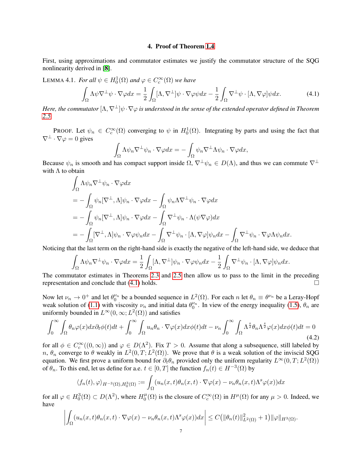#### 4. Proof of Theorem [1.4](#page-1-0)

<span id="page-6-0"></span>First, using approximations and commutator estimates we justify the commutator structure of the SQG nonlinearity derived in [[8](#page-9-1)].

<span id="page-6-3"></span>LEMMA 4.1. *For all*  $\psi \in H_0^1(\Omega)$  *and*  $\varphi \in C_c^{\infty}(\Omega)$  *we have* 

<span id="page-6-1"></span>
$$
\int_{\Omega} \Lambda \psi \nabla^{\perp} \psi \cdot \nabla \varphi dx = \frac{1}{2} \int_{\Omega} [\Lambda, \nabla^{\perp}] \psi \cdot \nabla \varphi \psi dx - \frac{1}{2} \int_{\Omega} \nabla^{\perp} \psi \cdot [\Lambda, \nabla \varphi] \psi dx.
$$
 (4.1)

*Here, the commutator*  $[\Lambda, \nabla^{\perp}]\psi \cdot \nabla \varphi$  *is understood in the sense of the extended operator defined in Theorem [2.5.](#page-3-3)*

PROOF. Let  $\psi_n \in C_c^{\infty}(\Omega)$  converging to  $\psi$  in  $H_0^1(\Omega)$ . Integrating by parts and using the fact that  $\nabla^{\perp} \cdot \nabla \varphi = 0$  gives

$$
\int_{\Omega} \Lambda \psi_n \nabla^{\perp} \psi_n \cdot \nabla \varphi dx = - \int_{\Omega} \psi_n \nabla^{\perp} \Lambda \psi_n \cdot \nabla \varphi dx,
$$

Because  $\psi_n$  is smooth and has compact support inside  $\Omega$ ,  $\nabla^{\perp}\psi_n \in D(\Lambda)$ , and thus we can commute  $\nabla^{\perp}$ with  $\Lambda$  to obtain

$$
\int_{\Omega} \Lambda \psi_n \nabla^{\perp} \psi_n \cdot \nabla \varphi dx
$$
\n
$$
= - \int_{\Omega} \psi_n [\nabla^{\perp}, \Lambda] \psi_n \cdot \nabla \varphi dx - \int_{\Omega} \psi_n \Lambda \nabla^{\perp} \psi_n \cdot \nabla \varphi dx
$$
\n
$$
= - \int_{\Omega} \psi_n [\nabla^{\perp}, \Lambda] \psi_n \cdot \nabla \varphi dx - \int_{\Omega} \nabla^{\perp} \psi_n \cdot \Lambda(\psi \nabla \varphi) dx
$$
\n
$$
= - \int_{\Omega} [\nabla^{\perp}, \Lambda] \psi_n \cdot \nabla \varphi \psi_n dx - \int_{\Omega} \nabla^{\perp} \psi_n \cdot [\Lambda, \nabla \varphi] \psi_n dx - \int_{\Omega} \nabla^{\perp} \psi_n \cdot \nabla \varphi \Lambda \psi_n dx.
$$

Noticing that the last term on the right-hand side is exactly the negative of the left-hand side, we deduce that

$$
\int_{\Omega} \Lambda \psi_n \nabla^{\perp} \psi_n \cdot \nabla \varphi dx = \frac{1}{2} \int_{\Omega} [\Lambda, \nabla^{\perp}] \psi_n \cdot \nabla \varphi \psi_n dx - \frac{1}{2} \int_{\Omega} \nabla^{\perp} \psi_n \cdot [\Lambda, \nabla \varphi] \psi_n dx.
$$

The commutator estimates in Theorems [2.3](#page-3-4) and [2.5](#page-3-3) then allow us to pass to the limit in the preceding representation and conclude that  $(4.1)$  holds.

Now let  $\nu_n \to 0^+$  and let  $\theta_0^{\nu_n}$  be a bounded sequence in  $L^2(\Omega)$ . For each n let  $\theta_n \equiv \theta^{\nu_n}$  be a Leray-Hopf weak solution of [\(1.1\)](#page-0-0) with viscosity  $\nu_n$  and initial data  $\theta_0^{\nu_n}$ . In view of the energy inequality [\(1.5\)](#page-0-2),  $\theta_n$  are uniformly bounded in  $L^{\infty}(0,\infty; L^2(\Omega))$  and satisfies

<span id="page-6-2"></span>
$$
\int_0^\infty \int_{\Omega} \theta_n \varphi(x) dx \partial_t \phi(t) dt + \int_0^\infty \int_{\Omega} u_n \theta_n \cdot \nabla \varphi(x) dx \phi(t) dt - \nu_n \int_0^\infty \int_{\Omega} \Lambda^{\frac{s}{2}} \theta_n \Lambda^{\frac{s}{2}} \varphi(x) dx \phi(t) dt = 0
$$
\n(4.2)

for all  $\phi \in C_c^{\infty}((0,\infty))$  and  $\varphi \in D(\Lambda^2)$ . Fix  $T > 0$ . Assume that along a subsequence, still labeled by n,  $\theta_n$  converge to  $\theta$  weakly in  $L^2(0,T;L^2(\Omega))$ . We prove that  $\theta$  is a weak solution of the inviscid SQG equation. We first prove a uniform bound for  $\partial_t \theta_n$  provided only the uniform regularity  $L^\infty(0,T; L^2(\Omega))$ of  $\theta_n$ . To this end, let us define for a.e.  $t \in [0, T]$  the function  $f_n(t) \in H^{-3}(\Omega)$  by

$$
\langle f_n(t), \varphi \rangle_{H^{-3}(\Omega), H_0^3(\Omega)} := \int_{\Omega} (u_n(x, t)\theta_n(x, t) \cdot \nabla \varphi(x) - \nu_n \theta_n(x, t) \Lambda^s \varphi(x)) dx
$$

for all  $\varphi \in H_0^3(\Omega) \subset D(\Lambda^2)$ , where  $H_0^{\mu}$  $\psi_0^{\mu}(\Omega)$  is the closure of  $C_c^{\infty}(\Omega)$  in  $H^{\mu}(\Omega)$  for any  $\mu > 0$ . Indeed, we have

$$
\left| \int_{\Omega} (u_n(x,t)\theta_n(x,t) \cdot \nabla \varphi(x) - \nu_n \theta_n(x,t) \Lambda^s \varphi(x)) dx \right| \leq C \big( \|\theta_n(t)\|_{L^2(\Omega)}^2 + 1 \big) \|\varphi\|_{H^3(\Omega)}.
$$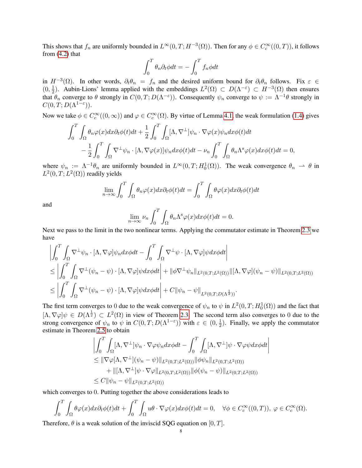This shows that  $f_n$  are uniformly bounded in  $L^{\infty}(0,T;H^{-3}(\Omega))$ . Then for any  $\phi \in C_c^{\infty}((0,T))$ , it follows from  $(4.2)$  that

$$
\int_0^T \theta_n \partial_t \phi dt = -\int_0^T f_n \phi dt
$$

in  $H^{-3}(\Omega)$ . In other words,  $\partial_t \theta_n = f_n$  and the desired uniform bound for  $\partial_t \theta_n$  follows. Fix  $\varepsilon \in$  $(0, \frac{1}{2})$  $\frac{1}{2}$ ). Aubin-Lions' lemma applied with the embeddings  $L^2(\Omega) \subset D(\Lambda^{-\epsilon}) \subset H^{-3}(\Omega)$  then ensures that  $\theta_n$  converge to  $\theta$  strongly in  $C(0,T;D(\Lambda^{-\varepsilon}))$ . Consequently  $\psi_n$  converge to  $\psi := \Lambda^{-1}\theta$  strongly in  $C(0,T;D(\Lambda^{1-\varepsilon})).$ 

Now we take  $\phi \in C_c^{\infty}((0,\infty))$  and  $\varphi \in C_c^{\infty}(\Omega)$ . By virtue of Lemma [4.1,](#page-6-3) the weak formulation [\(1.4\)](#page-0-1) gives

$$
\int_0^T \int_{\Omega} \theta_n \varphi(x) dx \partial_t \phi(t) dt + \frac{1}{2} \int_0^T \int_{\Omega} [\Lambda, \nabla^{\perp}] \psi_n \cdot \nabla \varphi(x) \psi_n dx \phi(t) dt \n- \frac{1}{2} \int_0^T \int_{\Omega} \nabla^{\perp} \psi_n \cdot [\Lambda, \nabla \varphi(x)] \psi_n dx \phi(t) dt - \nu_n \int_0^T \int_{\Omega} \theta_n \Lambda^s \varphi(x) dx \phi(t) dt = 0,
$$

where  $\psi_n := \Lambda^{-1} \theta_n$  are uniformly bounded in  $L^{\infty}(0,T; H_0^1(\Omega))$ . The weak convergence  $\theta_n \to \theta$  in  $L^2(0,T;L^2(\Omega))$  readily yields

$$
\lim_{n \to \infty} \int_0^T \int_{\Omega} \theta_n \varphi(x) dx \partial_t \phi(t) dt = \int_0^T \int_{\Omega} \theta \varphi(x) dx \partial_t \phi(t) dt
$$

and

$$
\lim_{n \to \infty} \nu_n \int_0^T \int_{\Omega} \theta_n \Lambda^s \varphi(x) dx \phi(t) dt = 0.
$$

Next we pass to the limit in the two nonlinear terms. Applying the commutator estimate in Theorem [2.3](#page-3-4) we have

$$
\begin{split}\n&\left|\int_{0}^{T} \int_{\Omega} \nabla^{\perp} \psi_{n} \cdot [\Lambda, \nabla \varphi] \psi_{n} dx \phi dt - \int_{0}^{T} \int_{\Omega} \nabla^{\perp} \psi \cdot [\Lambda, \nabla \varphi] \psi dx \phi dt \right| \\
&\leq \left| \int_{0}^{T} \int_{\Omega} \nabla^{\perp} (\psi_{n} - \psi) \cdot [\Lambda, \nabla \varphi] \psi dx \phi dt \right| + \|\phi \nabla^{\perp} \psi_{n}\|_{L^{2}(0,T;L^{2}(\Omega))} \|\ [\Lambda, \nabla \varphi] (\psi_{n} - \psi) \|_{L^{2}(0,T;L^{2}(\Omega))} \\
&\leq \left| \int_{0}^{T} \int_{\Omega} \nabla^{\perp} (\psi_{n} - \psi) \cdot [\Lambda, \nabla \varphi] \psi dx \phi dt \right| + C \|\psi_{n} - \psi\|_{L^{2}(0,T;D(\Lambda^{\frac{1}{2}}))}.\n\end{split}
$$

The first term converges to 0 due to the weak convergence of  $\psi_n$  to  $\psi$  in  $L^2(0,T;H^1_0(\Omega))$  and the fact that  $[\Lambda, \nabla \varphi] \psi \in D(\Lambda^{\frac{1}{2}}) \subset L^2(\Omega)$  in view of Theorem [2.3.](#page-3-4) The second term also converges to 0 due to the strong convergence of  $\psi_n$  to  $\psi$  in  $C(0,T;D(\Lambda^{1-\epsilon}))$  with  $\varepsilon \in (0,\frac{1}{2})$  $\frac{1}{2}$ ). Finally, we apply the commutator estimate in Theorem [2.5](#page-3-3) to obtain

> $\begin{array}{c} \end{array}$

$$
\left| \int_0^T \int_{\Omega} [\Lambda, \nabla^{\perp}] \psi_n \cdot \nabla \varphi \psi_n dx \phi dt - \int_0^T \int_{\Omega} [\Lambda, \nabla^{\perp}] \psi \cdot \nabla \varphi \psi dx \phi dt \right|
$$
  
\n
$$
\leq ||\nabla \varphi[\Lambda, \nabla^{\perp}] (\psi_n - \psi) ||_{L^2(0,T;L^2(\Omega))} ||\phi \psi_n ||_{L^2(0,T;L^2(\Omega))}
$$
  
\n
$$
+ ||[\Lambda, \nabla^{\perp}] \psi \cdot \nabla \varphi ||_{L^2(0,T;L^2(\Omega))} ||\phi(\psi_n - \psi) ||_{L^2(0,T;L^2(\Omega))}
$$
  
\n
$$
\leq C ||\psi_n - \psi||_{L^2(0,T;L^2(\Omega))}
$$

which converges to 0. Putting together the above considerations leads to

$$
\int_0^T \int_{\Omega} \theta \varphi(x) dx \partial_t \phi(t) dt + \int_0^T \int_{\Omega} u \theta \cdot \nabla \varphi(x) dx \phi(t) dt = 0, \quad \forall \phi \in C_c^{\infty}((0, T)), \ \varphi \in C_c^{\infty}(\Omega).
$$

Therefore,  $\theta$  is a weak solution of the inviscid SQG equation on [0, T].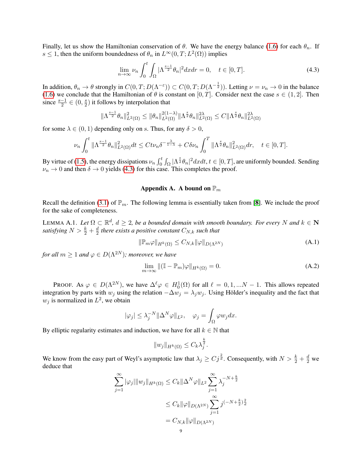Finally, let us show the Hamiltonian conservation of  $\theta$ . We have the energy balance [\(1.6\)](#page-0-3) for each  $\theta_n$ . If s  $\leq 1$ , then the uniform boundedness of  $\theta_n$  in  $L^{\infty}(0,T; L^2(\Omega))$  implies

<span id="page-8-2"></span>
$$
\lim_{n \to \infty} \nu_n \int_0^t \int_{\Omega} |\Lambda^{\frac{s-1}{2}} \theta_n|^2 dx dr = 0, \quad t \in [0, T]. \tag{4.3}
$$

In addition,  $\theta_n \to \theta$  strongly in  $C(0,T;D(\Lambda^{-\epsilon})) \subset C(0,T;D(\Lambda^{-\frac{1}{2}}))$ . Letting  $\nu = \nu_n \to 0$  in the balance [\(1.6\)](#page-0-3) we conclude that the Hamiltonian of  $\theta$  is constant on [0, T]. Consider next the case  $s \in (1, 2]$ . Then since  $\frac{s-1}{2} \in (0, \frac{s}{2})$  $\frac{s}{2}$ ) it follows by interpolation that

$$
\|\Lambda^{\frac{s-1}{2}}\theta_n\|_{L^2(\Omega)}^2 \le \|\theta_n\|_{L^2(\Omega)}^{2(1-\lambda)} \|\Lambda^{\frac{s}{2}}\theta_n\|_{L^2(\Omega)}^{2\lambda} \le C\|\Lambda^{\frac{s}{2}}\theta_n\|_{L^2(\Omega)}^{2\lambda}
$$

for some  $\lambda \in (0, 1)$  depending only on s. Thus, for any  $\delta > 0$ ,

$$
\nu_n \int_0^t \|\Lambda^{\frac{s-1}{2}}\theta_n\|_{L^2(\Omega)}^2 dt \leq C t \nu_n \delta^{-\frac{\lambda}{1-\lambda}} + C \delta \nu_n \int_0^T \|\Lambda^{\frac{s}{2}}\theta_n\|_{L^2(\Omega)}^2 dr, \quad t \in [0, T].
$$

By virtue of [\(1.5\)](#page-0-2), the energy dissipations  $\nu_n \int_0^t \int_{\Omega} |\Lambda^{\frac{s}{2}} \theta_n|^2 dxdt$ ,  $t \in [0, T]$ , are uniformly bounded. Sending  $\nu_n \to 0$  and then  $\delta \to 0$  yields [\(4.3\)](#page-8-2) for this case. This completes the proof.

## Appendix A. A bound on  $\mathbb{P}_m$

<span id="page-8-0"></span>Recall the definition [\(3.1\)](#page-3-5) of  $\mathbb{P}_m$ . The following lemma is essentially taken from [[8](#page-9-1)]. We include the proof for the sake of completeness.

<span id="page-8-1"></span>LEMMA A.1. Let  $\Omega \subset \mathbb{R}^d$ ,  $d \geq 2$ , be a bounded domain with smooth boundary. For every N and  $k \in \mathbb{N}$ *satisfying*  $N > \frac{k}{2} + \frac{d}{2}$  $\frac{d}{2}$  there exists a positive constant  $C_{N,k}$  such that

<span id="page-8-3"></span>
$$
\|\mathbb{P}_m\varphi\|_{H^k(\Omega)} \le C_{N,k} \|\varphi\|_{D(\Lambda^{2N})} \tag{A.1}
$$

*for all*  $m \geq 1$  *and*  $\varphi \in D(\Lambda^{2N})$ *; moreover, we have* 

<span id="page-8-4"></span>
$$
\lim_{m \to \infty} \| (\mathbb{I} - \mathbb{P}_m) \varphi \|_{H^k(\Omega)} = 0.
$$
\n(A.2)

PROOF. As  $\varphi \in D(\Lambda^{2N})$ , we have  $\Delta^{\ell} \varphi \in H_0^1(\Omega)$  for all  $\ell = 0, 1, ...N - 1$ . This allows repeated integration by parts with  $w_j$  using the relation  $-\Delta w_j = \lambda_j w_j$ . Using Hölder's inequality and the fact that  $w_j$  is normalized in  $L^2$ , we obtain

$$
|\varphi_j| \leq \lambda_j^{-N} \|\Delta^N \varphi\|_{L^2}, \quad \varphi_j = \int_{\Omega} \varphi w_j dx.
$$

By elliptic regularity estimates and induction, we have for all  $k \in \mathbb{N}$  that

$$
||w_j||_{H^k(\Omega)} \leq C_k \lambda_j^{\frac{k}{2}}.
$$

We know from the easy part of Weyl's asymptotic law that  $\lambda_j \geq C j^{\frac{2}{d}}$ . Consequently, with  $N > \frac{k}{2} + \frac{d}{2}$  we deduce that

$$
\sum_{j=1}^{\infty} |\varphi_j| \|w_j\|_{H^k(\Omega)} \le C_k \|\Delta^N \varphi\|_{L^2} \sum_{j=1}^{\infty} \lambda_j^{-N + \frac{k}{2}}
$$
  

$$
\le C_k \|\varphi\|_{D(\Lambda^{2N})} \sum_{j=1}^{\infty} j^{(-N + \frac{k}{2})\frac{2}{d}}
$$
  

$$
= C_{N,k} \|\varphi\|_{D(\Lambda^{2N})}
$$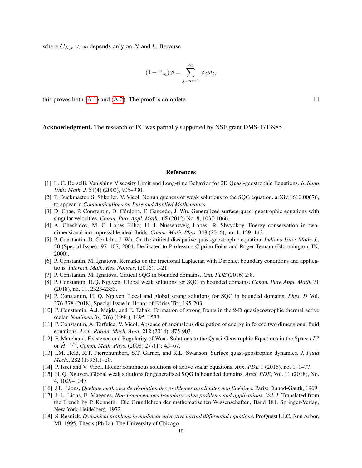where  $C_{N,k} < \infty$  depends only on N and k. Because

$$
(\mathbb{I} - \mathbb{P}_m)\varphi = \sum_{j=m+1}^{\infty} \varphi_j w_j,
$$

this proves both  $(A.1)$  and  $(A.2)$ . The proof is complete.

Acknowledgment. The research of PC was partially supported by NSF grant DMS-1713985.

#### References

- <span id="page-9-2"></span>[1] L. C. Berselli. Vanishing Viscosity Limit and Long-time Behavior for 2D Quasi-geostrophic Equations. *Indiana Univ. Math. J.* 51(4) (2002), 905–930.
- [2] T. Buckmaster, S. Shkoller, V. Vicol. Nonuniqueness of weak solutions to the SQG equation. arXiv:1610.00676, to appear in *Communications on Pure and Applied Mathematics*.
- <span id="page-9-3"></span>[3] D. Chae, P. Constantin, D. Córdoba, F. Gancedo, J. Wu. Generalized surface quasi-geostrophic equations with singular velocities. *Comm. Pure Appl. Math*., 65 (2012) No. 8, 1037-1066.
- <span id="page-9-7"></span>[4] A. Cheskidov, M. C. Lopes Filho; H. J. Nussenzveig Lopes; R. Shvydkoy. Energy conservation in twodimensional incompressible ideal fluids. *Comm. Math. Phys.* 348 (2016), no. 1, 129–143.
- [5] P. Constantin, D. Cordoba, J. Wu. On the critical dissipative quasi-geostrophic equation. *Indiana Univ. Math. J.*, 50 (Special Issue): 97–107, 2001. Dedicated to Professors Ciprian Foias and Roger Temam (Bloomington, IN, 2000).
- <span id="page-9-0"></span>[6] P. Constantin, M. Ignatova. Remarks on the fractional Laplacian with Dirichlet boundary conditions and applications. *Internat. Math. Res. Notices*, (2016), 1-21.
- [7] P. Constantin, M. Ignatova. Critical SQG in bounded domains. *Ann. PDE* (2016) 2:8.
- <span id="page-9-1"></span>[8] P. Constantin, H.Q. Nguyen. Global weak solutions for SQG in bounded domains. *Comm. Pure Appl. Math*, 71 (2018), no. 11, 2323-2333.
- [9] P. Constantin, H. Q. Nguyen. Local and global strong solutions for SQG in bounded domains. *Phys. D* Vol. 376-378 (2018), Special Issue in Honor of Edriss Titi, 195-203.
- [10] P. Constantin, A.J. Majda, and E. Tabak. Formation of strong fronts in the 2-D quasigeostrophic thermal active scalar. *Nonlinearity*, 7(6) (1994), 1495–1533.
- [11] P. Constantin, A. Tarfulea, V. Vicol. Absence of anomalous dissipation of energy in forced two dimensional fluid equations. *Arch. Ration. Mech. Anal.* 212 (2014), 875-903.
- <span id="page-9-5"></span>[12] F. Marchand. Existence and Regularity of Weak Solutions to the Quasi-Geostrophic Equations in the Spaces  $L^p$ or  $\dot{H}^{-1/2}$ . *Comm. Math. Phys.* (2008) 277(1): 45–67.
- [13] I.M. Held, R.T. Pierrehumbert, S.T. Garner, and K.L. Swanson. Surface quasi-geostrophic dynamics. *J. Fluid Mech.*, 282 (1995),1–20.
- <span id="page-9-6"></span>[14] P. Isset and V. Vicol. Hölder continuous solutions of active scalar equations. Ann. PDE 1 (2015), no. 1, 1–77.
- <span id="page-9-4"></span>[15] H. Q. Nguyen. Global weak solutions for generalized SQG in bounded domains. *Anal. PDE*, Vol. 11 (2018), No. 4, 1029–1047.
- <span id="page-9-9"></span>[16] J.L. Lions, *Quelque methodes de resolution des problemes aux limites non lin ´ eaires ´* . Paris: Dunod-Gauth, 1969.
- <span id="page-9-8"></span>[17] J. L. Lions, E. Magenes, *Non-homogeneous boundary value problems and applications. Vol. I*. Translated from the French by P. Kenneth. Die Grundlehren der mathematischen Wissenschaften, Band 181. Springer-Verlag, New York-Heidelberg, 1972.
- [18] S. Resnick, *Dynamical problems in nonlinear advective partial differential equations*. ProQuest LLC, Ann Arbor, MI, 1995, Thesis (Ph.D.)–The University of Chicago.